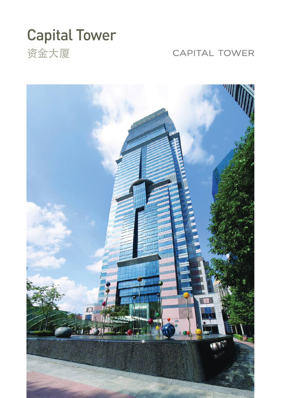# Capital Tower 资金大厦

## **CAPITAL TOWER**